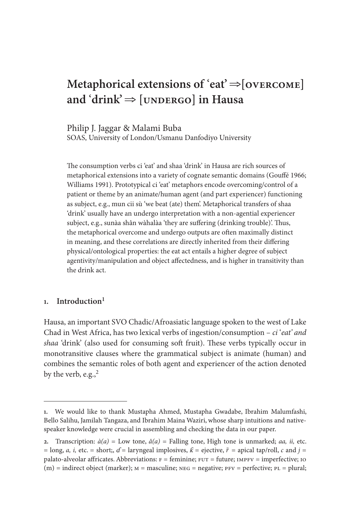# $Metaphorical extensions of 'eat' \Rightarrow [overcomel]$  $\text{and } \text{'drink} \Rightarrow \text{[UNDERGO]} \text{ in Hausa}$

Philip J. Jaggar & Malami Buba SOAS, University of London/Usmanu Danfodiyo University

The consumption verbs ci 'eat' and shaa 'drink' in Hausa are rich sources of metaphorical extensions into a variety of cognate semantic domains (Gouffé 1966; Williams 1991). Prototypical ci 'eat' metaphors encode overcoming/control of a patient or theme by an animate/human agent (and part experiencer) functioning as subject, e.g., mun cii sù 'we beat (ate) them'. Metaphorical transfers of shaa 'drink' usually have an undergo interpretation with a non-agential experiencer subject, e.g., sunàa shân wàhalàa 'they are suffering (drinking trouble)'. Thus, the metaphorical overcome and undergo outputs are often maximally distinct in meaning, and these correlations are directly inherited from their differing physical/ontological properties: the eat act entails a higher degree of subject agentivity/manipulation and object affectedness, and is higher in transitivity than the drink act.

## **Introduction1**

Hausa, an important SVO Chadic/Afroasiatic language spoken to the west of Lake Chad in West Africa, has two lexical verbs of ingestion/consumption –  $ci'$ eat' and shaa 'drink' (also used for consuming soft fruit). These verbs typically occur in monotransitive clauses where the grammatical subject is animate (human) and combines the semantic roles of both agent and experiencer of the action denoted by the verb, e.g., $<sup>2</sup>$ </sup>

We would like to thank Mustapha Ahmed, Mustapha Gwadabe, Ibrahim Malumfashi, Bello Salihu, Jamilah Tangaza, and Ibrahim Maina Waziri, whose sharp intuitions and nativespeaker knowledge were crucial in assembling and checking the data in our paper.

<sup>2.</sup> Transcription:  $\dot{a}(a) = \text{Low tone}, \hat{a}(a) = \text{Falling tone}, \text{High tone is unmarked; } aa, \text{ } ii, \text{ etc.}$ = long, a, i, etc. = short;,  $d$  = laryngeal implosives,  $k$  = ejective,  $\tilde{r}$  = apical tap/roll, c and  $j$  = palato-alveolar affricates. Abbreviations:  $F =$  feminine;  $FUT =$  future;  $IMPFV =$  imperfective; 10  $(m)$  = indirect object (marker);  $M =$  masculine;  $NEG =$  negative;  $PF =$  perfective;  $PL =$  plural;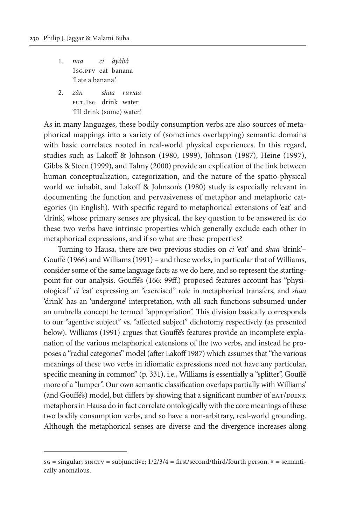- 1. naa ci àyàbà 1sG.PFV eat banana 'I ate a banana.'
- 2. zân shaa ruwaa FUT.1sG drink water 'I'll drink (some) water.'

As in many languages, these bodily consumption verbs are also sources of metaphorical mappings into a variety of (sometimes overlapping) semantic domains with basic correlates rooted in real-world physical experiences. In this regard, studies such as Lakoff & Johnson (1980, 1999), Johnson (1987), Heine (1997), Gibbs & Steen (1999), and Talmy (2000) provide an explication of the link between human conceptualization, categorization, and the nature of the spatio-physical world we inhabit, and Lakoff & Johnson's (1980) study is especially relevant in documenting the function and pervasiveness of metaphor and metaphoric categories (in English). With specific regard to metaphorical extensions of 'eat' and 'drink', whose primary senses are physical, the key question to be answered is: do these two verbs have intrinsic properties which generally exclude each other in metaphorical expressions, and if so what are these properties?

Turning to Hausa, there are two previous studies on ci 'eat' and shaa 'drink'– Gouffé (1966) and Williams (1991) – and these works, in particular that of Williams, consider some of the same language facts as we do here, and so represent the startingpoint for our analysis. Gouffé's (166: 99ff.) proposed features account has "physiological" ci 'eat' expressing an "exercised" role in metaphorical transfers, and shaa 'drink' has an 'undergone' interpretation, with all such functions subsumed under an umbrella concept he termed "appropriation". This division basically corresponds to our "agentive subject" vs. "affected subject" dichotomy respectively (as presented below). Williams (1991) argues that Gouffé's features provide an incomplete explanation of the various metaphorical extensions of the two verbs, and instead he proposes a "radial categories" model (after Lakoff 1987) which assumes that "the various meanings of these two verbs in idiomatic expressions need not have any particular, specific meaning in common" (p. 331), i.e., Williams is essentially a "splitter", Gouffé more of a "lumper". Our own semantic classification overlaps partially with Williams' (and Gouffe's) model, but differs by showing that a significant number of  $EAY/DRINK$ metaphors in Hausa do in fact correlate ontologically with the core meanings of these two bodily consumption verbs, and so have a non-arbitrary, real-world grounding. Although the metaphorical senses are diverse and the divergence increases along

 $SG = singular$ ;  $S\text{NOTV} = subjunctive$ ;  $1/2/3/4 = first/second/third/fourth person$ .  $# = semantic$ cally anomalous.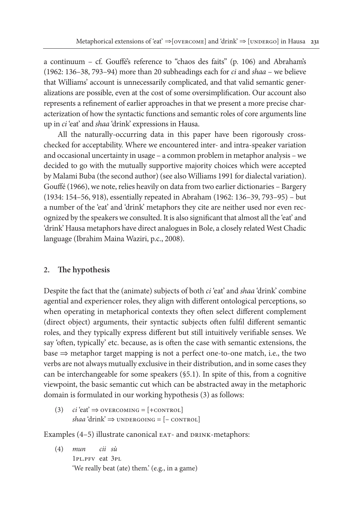a continuum – cf. Gouffé's reference to "chaos des faits" (p. 106) and Abraham's (1962: 136–38, 793–94) more than 20 subheadings each for ci and shaa – we believe that Williams' account is unnecessarily complicated, and that valid semantic generalizations are possible, even at the cost of some oversimplification. Our account also represents a refinement of earlier approaches in that we present a more precise characterization of how the syntactic functions and semantic roles of core arguments line up in ci 'eat' and shaa 'drink' expressions in Hausa.

All the naturally-occurring data in this paper have been rigorously crosschecked for acceptability. Where we encountered inter- and intra-speaker variation and occasional uncertainty in usage – a common problem in metaphor analysis – we decided to go with the mutually supportive majority choices which were accepted by Malami Buba (the second author) (see also Williams 1991 for dialectal variation). Gouffé (1966), we note, relies heavily on data from two earlier dictionaries - Bargery (1934: 154–56, 918), essentially repeated in Abraham (1962: 136–39, 793–95) – but a number of the 'eat' and 'drink' metaphors they cite are neither used nor even recognized by the speakers we consulted. It is also significant that almost all the 'eat' and 'drink' Hausa metaphors have direct analoguesin Bole, a closely related West Chadic language (Ibrahim Maina Waziri, p.c., 2008).

#### **2 !e hypothesis**

Despite the fact that the (animate) subjects of both ci 'eat' and shaa 'drink' combine agential and experiencer roles, they align with different ontological perceptions, so when operating in metaphorical contexts they often select different complement (direct object) arguments, their syntactic subjects often fulfil different semantic roles, and they typically express different but still intuitively verifiable senses. We say 'often, typically' etc. because, as is often the case with semantic extensions, the base  $\Rightarrow$  metaphor target mapping is not a perfect one-to-one match, i.e., the two verbs are not always mutually exclusive in their distribution, and in some cases they can be interchangeable for some speakers (§5.1). In spite of this, from a cognitive viewpoint, the basic semantic cut which can be abstracted away in the metaphoric domain is formulated in our working hypothesis (3) as follows:

(3)  $ci$  'eat'  $\Rightarrow$  OVERCOMING = [+CONTROL]  $shaa'$ drink'  $\Rightarrow$  UNDERGOING =  $[-$  CONTROL]

Examples  $(4-5)$  illustrate canonical  $EAT-$  and  $DRINK-metaphors$ :

(4) mun cii sù 1PL.PFV eat 3PL 'We really beat (ate) them.' (e.g., in a game)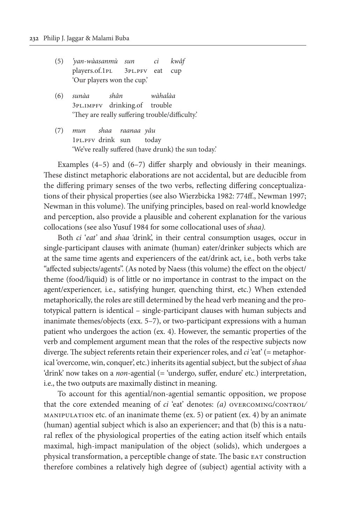- (5) 'yan-wàasanmù sun ci kwâf players.of.1PL 3PL.PFV eat cup 'Our players won the cup.'
- (6) sunàa shân wàhalàa 3PL.IMPFV drinking.of trouble 'They are really suffering trouble/difficulty.'
- (7) mun shaa raanaa yâu 1PL.PFV drink sun today 'We've really suffered (have drunk) the sun today.'

Examples  $(4-5)$  and  $(6-7)$  differ sharply and obviously in their meanings. These distinct metaphoric elaborations are not accidental, but are deducible from the differing primary senses of the two verbs, reflecting differing conceptualizations of their physical properties (see also Wierzbicka 1982: 774ff., Newman 1997; Newman in this volume). The unifying principles, based on real-world knowledge and perception, also provide a plausible and coherent explanation for the various collocations (see also Yusuf 1984 for some collocational uses of shaa).

Both ci 'eat' and shaa 'drink', in their central consumption usages, occur in single-participant clauses with animate (human) eater/drinker subjects which are at the same time agents and experiencers of the eat/drink act, i.e., both verbs take "affected subjects/agents". (As noted by Naess (this volume) the effect on the object/ theme (food/liquid) is of little or no importance in contrast to the impact on the agent/experiencer, i.e., satisfying hunger, quenching thirst, etc.) When extended metaphorically, the roles are still determined by the head verb meaning and the prototypical pattern is identical – single-participant clauses with human subjects and inanimate themes/objects (exx. 5–7), or two-participant expressions with a human patient who undergoes the action (ex. 4). However, the semantic properties of the verb and complement argument mean that the roles of the respective subjects now diverge. The subject referents retain their experiencer roles, and  $ci$  'eat' (= metaphorical 'overcome, win, conquer', etc.) inherits its agential subject, but the subject of shaa 'drink' now takes on a *non*-agential (= 'undergo, suffer, endure' etc.) interpretation, i.e., the two outputs are maximally distinct in meaning.

To account for this agential/non-agential semantic opposition, we propose that the core extended meaning of  $ci$  'eat' denotes: (a) OVERCOMING/CONTROL/ MANIPULATION etc. of an inanimate theme (ex. 5) or patient (ex. 4) by an animate (human) agential subject which is also an experiencer; and that (b) this is a natural reflex of the physiological properties of the eating action itself which entails maximal, high-impact manipulation of the object (solids), which undergoes a physical transformation, a perceptible change of state. The basic EAT construction therefore combines a relatively high degree of (subject) agential activity with a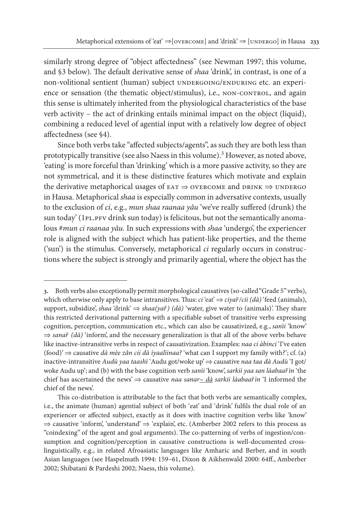similarly strong degree of "object affectedness" (see Newman 1997; this volume, and §3 below). The default derivative sense of shaa 'drink', in contrast, is one of a non-volitional sentient (human) subject UNDERGOING/ENDURING etc. an experience or sensation (the thematic object/stimulus), i.e., NON-CONTROL, and again this sense is ultimately inherited from the physiological characteristics of the base verb activity – the act of drinking entails minimal impact on the object (liquid), combining a reduced level of agential input with a relatively low degree of object affectedness (see §4).

Since both verbs take "affected subjects/agents", as such they are both less than prototypically transitive (see also Naess in this volume).<sup>3</sup> However, as noted above, 'eating' is more forceful than 'drinking' which is a more passive activity, so they are not symmetrical, and it is these distinctive features which motivate and explain the derivative metaphorical usages of  $EAT \Rightarrow OVERCOME$  and  $DRINK \Rightarrow UNDERGO$ in Hausa. Metaphorical shaa is especially common in adversative contexts, usually to the exclusion of ci, e.g., mun shaa raanaa yâu 'we've really suffered (drunk) the sun today' (1PL.PFV drink sun today) is felicitous, but not the semantically anomalous #mun ci raanaa yâu. In such expressions with shaa 'undergo', the experiencer role is aligned with the subject which has patient-like properties, and the theme ('sun') is the stimulus. Conversely, metaphorical ci regularly occurs in constructions where the subject is strongly and primarily agential, where the object has the

Both verbs also exceptionally permit morphological causatives (so-called "Grade 5"verbs), which otherwise only apply to base intransitives. Thus:  $ci$  'eat'  $\Rightarrow$   $ciya\tilde{r}/cii$  (dà) 'feed (animals), support, subsidize', shaa 'drink'  $\Rightarrow$  shaa(yar̃) (dà) 'water, give water to (animals)'. They share this restricted derivational patterning with a specifiable subset of transitive verbs expressing cognition, perception, communication etc., which can also be causativized, e.g., sanìi 'know'  $\Rightarrow$  sanar̃ (dà) 'inform', and the necessary generalization is that all of the above verbs behave like inactive-intransitive verbs in respect of causativization. Examples: naa ci àbinci 'I've eaten  $(food)' \Rightarrow$  causative dà mèe zân cii dà ìyaalìinaa? 'what can I support my family with?'; cf. (a) inactive-intransitive Audù yaa taashì 'Audu got/woke up'  $\Rightarrow$  causative naa taa dà Audù 'I got/ woke Audu up'; and (b) with the base cognition verb sanìi 'know', sarkii yaa san làabaar̃in 'the chief has ascertained the news'  $\Rightarrow$  causative naa sanar $\sim$  dà sarkii làabaar̃ ìn 'I informed the chief of the news'.

This co-distribution is attributable to the fact that both verbs are semantically complex, i.e., the animate (human) agential subject of both 'eat' and 'drink' fulfils the dual role of an experiencer or affected subject, exactly as it does with inactive cognition verbs like 'know'  $\Rightarrow$  causative 'inform', 'understand'  $\Rightarrow$  'explain', etc. (Amberber 2002 refers to this process as "coindexing" of the agent and goal arguments). The co-patterning of verbs of ingestion/consumption and cognition/perception in causative constructions is well-documented crosslinguistically, e.g., in related Afroasiatic languages like Amharic and Berber, and in south Asian languages (see Haspelmath 1994: 159–61, Dixon & Aikhenwald 2000: 64ff., Amberber 2002; Shibatani & Pardeshi 2002; Naess, this volume).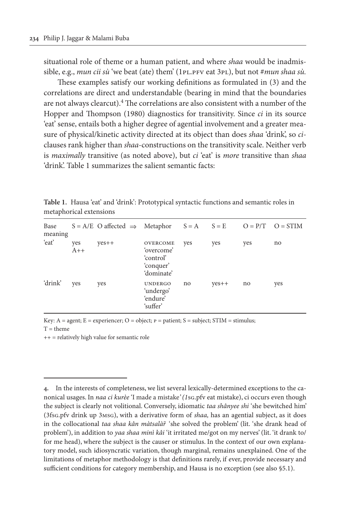situational role of theme or a human patient, and where shaa would be inadmissible, e.g., mun cii sù 'we beat (ate) them' (1PL.PFV eat 3PL), but not #mun shaa sù.

These examples satisfy our working definitions as formulated in (3) and the correlations are direct and understandable (bearing in mind that the boundaries are not always clearcut). $4$  The correlations are also consistent with a number of the Hopper and Thompson (1980) diagnostics for transitivity. Since  $ci$  in its source 'eat' sense, entails both a higher degree of agential involvement and a greater measure of physical/kinetic activity directed at its object than does shaa 'drink', so ciclauses rank higher than shaa-constructions on the transitivity scale. Neither verb is maximally transitive (as noted above), but ci 'eat' is more transitive than shaa 'drink'. Table 1 summarizes the salient semantic facts:

| Base<br>meaning |              | $S = A/E$ O affected $\Rightarrow$ Metaphor $S = A$ $S = E$ |                                                                |     |         |     | $Q = P/T$ $Q = STIM$ |
|-----------------|--------------|-------------------------------------------------------------|----------------------------------------------------------------|-----|---------|-----|----------------------|
| 'eat'           | yes<br>$A++$ | $yes++$                                                     | OVERCOME<br>'overcome'<br>'control'<br>'conquer'<br>'dominate' | yes | yes     | yes | no                   |
| 'drink'         | ves          | yes                                                         | <b>UNDERGO</b><br>'undergo'<br>'endure'<br>'suffer'            | no  | $yes++$ | no  | yes                  |

**Table 1.** Hausa 'eat' and 'drink': Prototypical syntactic functions and semantic roles in metaphorical extensions

Key:  $A = agent$ ;  $E = experience$ ;  $O = object$ ;  $P = patient$ ;  $S = subject$ ; STIM = stimulus;

 $T =$  theme

++ = relatively high value for semantic role

In the interests of completeness, we list several lexically-determined exceptions to the canonical usages. In naa ci kurèe 'I made a mistake' (1sG.pfv eat mistake), ci occurs even though the subject is clearly not volitional. Conversely, idiomatic taa shânyee shi 'she bewitched him' (3fsG.pfv drink up  $3$ MSG), with a derivative form of shaa, has an agential subject, as it does in the collocational taa shaa kân màtsalàr̃ 'she solved the problem' (lit. 'she drank head of problem'), in addition to yaa shaa minì kâi 'it irritated me/got on my nerves' (lit. 'it drank to/ for me head), where the subject is the causer or stimulus. In the context of our own explanatory model, such idiosyncratic variation, though marginal, remains unexplained. One of the limitations of metaphor methodology is that definitions rarely, if ever, provide necessary and sufficient conditions for category membership, and Hausa is no exception (see also §5.1).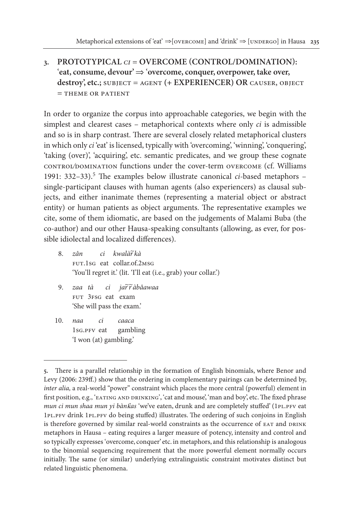# **PROTOTYPICAL** *9?* = **OVERCOME CONTROL/DOMINATION:** '**eat, consume, devour'** '**overcome, conquer, overpower, take over,** destroy', etc.; SUBJECT = AGENT (+ EXPERIENCER) OR CAUSER, OBJECT  $=$  THEME OR PATIENT

In order to organize the corpus into approachable categories, we begin with the simplest and clearest cases – metaphorical contexts where only  $ci$  is admissible and so is in sharp contrast. There are several closely related metaphorical clusters in which only *ci* 'eat' is licensed, typically with 'overcoming', 'winning', 'conquering', 'taking (over)', 'acquiring', etc. semantic predicates, and we group these cognate CONTROL/DOMINATION functions under the cover-term OVERCOME (cf. Williams 1991: 332-33).<sup>5</sup> The examples below illustrate canonical *ci*-based metaphors single-participant clauses with human agents (also experiencers) as clausal subjects, and either inanimate themes (representing a material object or abstract entity) or human patients as object arguments. The representative examples we cite, some of them idiomatic, are based on the judgements of Malami Buba (the co-author) and our other Hausa-speaking consultants (allowing, as ever, for possible idiolectal and localized differences).

- 8. zân ci kwalàr̃kà FUT.1sG eat collar.of.2MSG 'You'll regret it.' (lit. 'I'll eat (i.e., grab) your collar.')
- 9. zaa tà  $\widetilde{r}$ r̃ àbâawaa FUT 3FSG eat exam 'She will pass the exam.'
- 10. naa ci caaca 1sG.PFV eat gambling 'I won (at) gambling.'

<sup>5.</sup> There is a parallel relationship in the formation of English binomials, where Benor and Levy (2006: 239ff.) show that the ordering in complementary pairings can be determined by, inter alia, a real-world "power" constraint which places the more central (powerful) element in first position, e.g., 'EATING AND DRINKING', 'cat and mouse', 'man and boy', etc. The fixed phrase mun ci mun shaa mun yi bànƙas 'we've eaten, drunk and are completely stuffed' (1PL.PFV eat 1PL.PFV drink 1PL.PFV do being stuffed) illustrates. The ordering of such conjoins in English is therefore governed by similar real-world constraints as the occurrence of EAT and DRINK metaphors in Hausa – eating requires a larger measure of potency, intensity and control and so typically expresses 'overcome, conquer' etc. in metaphors, and this relationship is analogous to the binomial sequencing requirement that the more powerful element normally occurs initially. The same (or similar) underlying extralinguistic constraint motivates distinct but related linguistic phenomena.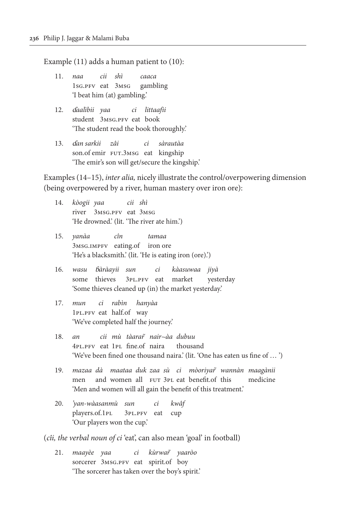Example (11) adds a human patient to (10):

- 11. naa cii shì caaca 1sg. PFV eat 3MSG gambling 'I beat him (at) gambling.'
- 12. ɗaalìbii yaa ci littaafìi student 3MSG.PFV eat book 'The student read the book thoroughly.'
- 13. ɗan sarkii zâi ci sàrautàa son.of emir FUT.3MSG eat kingship 'The emir's son will get/secure the kingship.'

Examples (14–15), inter alia, nicely illustrate the control/overpowering dimension (being overpowered by a river, human mastery over iron ore):

- 14. kòogii yaa cii shì river 3MSG.PFV eat 3MSG 'He drowned.' (lit. 'The river ate him.')
- 15. yanàa cîn tamaa 3MSG.IMPFV eating.of iron ore 'He's a blacksmith.' (lit. 'He is eating iron (ore).')
- 16. wasu ɓàràayii sun ci kàasuwaa jiyà some thieves 3PL.PFV eat market yesterday 'Some thieves cleaned up (in) the market yesterday.'
- 17. mun ci rabìn hanyàa 1PL.PFV eat half.of way 'We've completed half the journey.'
- 18. an cii mù tàarar̃ nair~àa dubuu 4PL.PFV eat 1PL fine.of naira thousand 'We've been fined one thousand naira.' (lit. 'One has eaten us fine of ... ')
- 19. mazaa dà maataa duk zaa sù ci mòoriyar̃ wannàn maagànii men and women all FUT 3PL eat benefit.of this medicine 'Men and women will all gain the benefit of this treatment.'
- 20. 'yan-wàasanmù sun ci kwâf players.of.1PL 3PL.PFV eat cup 'Our players won the cup.'

(cîi, the verbal noun of ci 'eat', can also mean 'goal' in football)

21. maayèe yaa ci kùrwar̃ yaaròo sorcerer 3MSG.PFV eat spirit.of boy 'The sorcerer has taken over the boy's spirit.'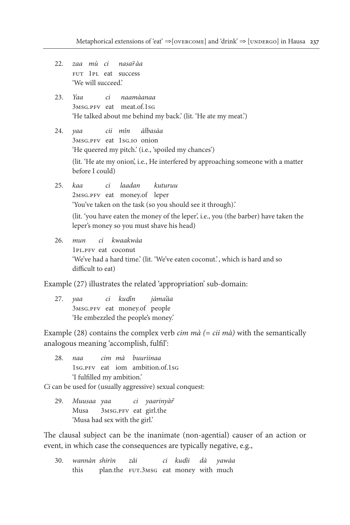- 22. zaa mù ci nasar̃àa FUT 1PL eat success 'We will succeed.'
- 23. Yaa ci naamàanaa 3MSG.PFV eat meat.of.1sG 'He talked about me behind my back.' (lit. 'He ate my meat.')
- 24. yaa cii mîn àlbasàa 3MSG.PFV eat 1sG.IO onion 'He queered my pitch.' (i.e., 'spoiled my chances') (lit. 'He ate my onion', i.e., He interfered by approaching someone with a matter before I could)
- 25. kaa ci laadan kuturuu 2MSG.PFV eat money.of leper 'You've taken on the task (so you should see it through).' (lit. 'you have eaten the money of the leper', i.e., you (the barber) have taken the leper's money so you must shave his head)
- 26. mun ci kwaakwàa 1PL PFV eat coconut 'We've had a hard time.' (lit. 'We've eaten coconut.', which is hard and so difficult to eat)

Example (27) illustrates the related 'appropriation' sub-domain:

27. yaa ci kuɗin jàma'àa 3MSG.PFV eat money.of people 'He embezzled the people's money.'

Example (28) contains the complex verb *cim mà* (= *cii mà*) with the semantically analogous meaning 'accomplish, fulfil':

28. naa cim mà buurìinaa 1sg. PFV eat iom ambition.of.1sg 'I fulfilled my ambition.'

Ci can be used for (usually aggressive) sexual conquest:

29. Muusaa yaa ci yaarinyàr̃ Musa 3MSG.PFV eat girl.the 'Musa had sex with the girl.'

The clausal subject can be the inanimate (non-agential) causer of an action or event, in which case the consequences are typically negative, e.g.,

|      | 30. <i>wannàn shirìn zâi</i> |                                       | ci kuɗii dà yawàa |  |
|------|------------------------------|---------------------------------------|-------------------|--|
| this |                              | plan.the FUT.3MSG eat money with much |                   |  |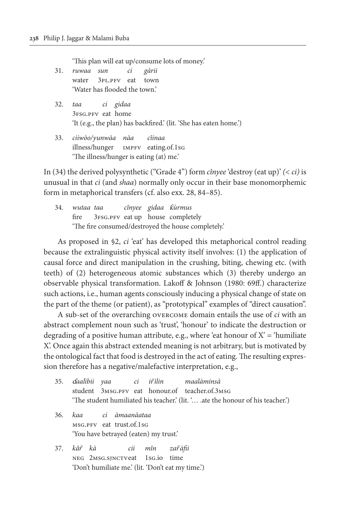'This plan will eat up/consume lots of money.'

- 31. ruwaa sun ci gàrii water 3PL.PFV eat town 'Water has flooded the town.'
- 32. taa ci gidaa 3FSG.PFV eat home 'It (e.g., the plan) has backfired.' (lit. 'She has eaten home.')
- 33. ciiwòo/yunwàa nàa cîinaa illness/hunger IMPFV eating.of.1sG 'The illness/hunger is eating (at) me.'

In (34) the derived polysynthetic ("Grade 4") form *cînyee* 'destroy (eat up)' (< *ci*) is unusual in that ci (and shaa) normally only occur in their base monomorphemic form in metaphorical transfers (cf. also exx. 28, 84–85).

| 34. wutaa taa |  | cînyee gidaa ƙùrmus                                 |
|---------------|--|-----------------------------------------------------|
|               |  | fire 3FSG.PFV eat up house completely               |
|               |  | 'The fire consumed/destroyed the house completely.' |

As proposed in §2, *ci* 'eat' has developed this metaphorical control reading because the extralinguistic physical activity itself involves: (1) the application of causal force and direct manipulation in the crushing, biting, chewing etc. (with teeth) of (2) heterogeneous atomic substances which (3) thereby undergo an observable physical transformation. Lakoff & Johnson (1980: 69ff.) characterize such actions, i.e., human agents consciously inducing a physical change of state on the part of the theme (or patient), as "prototypical" examples of "direct causation".

A sub-set of the overarching OVERCOME domain entails the use of ci with an abstract complement noun such as 'trust', 'honour' to indicate the destruction or degrading of a positive human attribute, e.g., where 'eat honour of  $X' = 'humiliate$ X'. Once again this abstract extended meaning is not arbitrary, but is motivated by the ontological fact that food is destroyed in the act of eating. The resulting expression therefore has a negative/malefactive interpretation, e.g.,

- 35. ɗaalìbii yaa ci ir̃ìlin maalàminsà student 3MSG.PFV eat honour.of teacher.of.3MSG 'The student humiliated his teacher.' (lit. '... .ate the honour of his teacher.')
- 36. kaa ci àmaanàataa MSG.PFV eat trust.of.1sG 'You have betrayed (eaten) my trust.'
- 37. kâr̃ kà cii mîn zar̃àfii NEG 2MSG.SJNCTVeat 1sG.io time 'Don't humiliate me.' (lit. 'Don't eat my time.')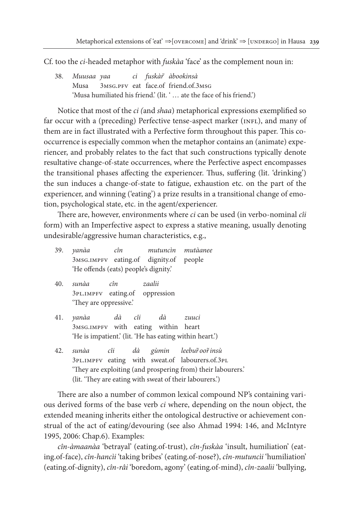Cf. too the ci-headed metaphor with fuskàa 'face' as the complement noun in:

38. Muusaa yaa ci fuskàr̃ àbookinsà  $Musa = 3MSG.PEV$  eat face of friend of  $3MSG$ 'Musa humiliated his friend.' (lit. ' … ate the face of his friend.')

Notice that most of the *ci* (and shaa) metaphorical expressions exemplified so far occur with a (preceding) Perfective tense-aspect marker (INFL), and many of them are in fact illustrated with a Perfective form throughout this paper. This cooccurrence is especially common when the metaphor contains an (animate) experiencer, and probably relates to the fact that such constructions typically denote resultative change-of-state occurrences, where the Perfective aspect encompasses the transitional phases affecting the experiencer. Thus, suffering (lit. 'drinking') the sun induces a change-of-state to fatigue, exhaustion etc. on the part of the experiencer, and winning ('eating') a prize results in a transitional change of emotion, psychological state, etc. in the agent/experiencer.

There are, however, environments where ci can be used (in verbo-nominal cîi form) with an Imperfective aspect to express a stative meaning, usually denoting undesirable/aggressive human characteristics, e.g.,

| 39. | vanàa                                  |     |           | cîn mutuncìn mutàanee                                        |
|-----|----------------------------------------|-----|-----------|--------------------------------------------------------------|
|     | 3MSG.IMPFV eating.of dignity.of people |     |           |                                                              |
|     | 'He offends (eats) people's dignity.'  |     |           |                                                              |
| 40. | sunàa                                  | cîn | zaalii    |                                                              |
|     | 3PL.IMPFV eating.of oppression         |     |           |                                                              |
|     | 'They are oppressive.'                 |     |           |                                                              |
| 41. | yanàa                                  |     | dà cîi dà | zuuci                                                        |
|     | 3MSG.IMPFV with eating within heart    |     |           |                                                              |
|     |                                        |     |           | 'He is impatient.' (lit. 'He has eating within heart.')      |
| 42. | sunàa                                  |     |           | cîi dà gùmin leebur <sup>oor</sup> insù                      |
|     |                                        |     |           | 3PL.IMPFV eating with sweat.of labourers.of.3PL              |
|     |                                        |     |           | 'They are exploiting (and prospering from) their labourers.' |
|     |                                        |     |           | (lit. 'They are eating with sweat of their labourers.')      |

There are also a number of common lexical compound NP's containing various derived forms of the base verb ci where, depending on the noun object, the extended meaning inherits either the ontological destructive or achievement construal of the act of eating/devouring (see also Ahmad 1994: 146, and McIntyre 1995, 2006: Chap.6). Examples:

cîn-àmaanàa 'betrayal' (eating.of-trust), cîn-fuskàa 'insult, humiliation' (eating.of-face), cîn-hancìi 'taking bribes' (eating.of-nose?), cîn-mutuncìi 'humiliation' (eating.of-dignity), cîn-râi 'boredom, agony' (eating.of-mind), cîn-zaalii 'bullying,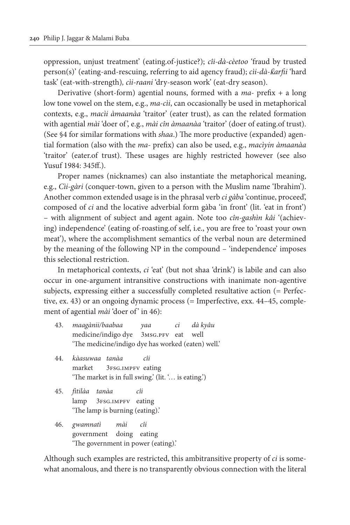oppression, unjust treatment' (eating.of-justice?); cîi-dà-cèetoo 'fraud by trusted person(s)' (eating-and-rescuing, referring to aid agency fraud); *cìi-dà-ƙarfii* 'hard task' (eat-with-strength), cìi-raani 'dry-season work' (eat-dry season).

Derivative (short-form) agential nouns, formed with a  $ma$ - prefix + a long low tone vowel on the stem, e.g., ma-cii, can occasionally be used in metaphorical contexts, e.g., macìi àmaanàa 'traitor' (eater trust), as can the related formation with agential mài 'doer of', e.g., mài cîn àmaanàa 'traitor' (doer of eating.of trust). (See  $$4$  for similar formations with shaa.) The more productive (expanded) agential formation (also with the  $ma$ - prefix) can also be used, e.g., maciyin àmaanàa 'traitor' (eater.of trust). These usages are highly restricted however (see also Yusuf 1984: 345ff.).

Proper names (nicknames) can also instantiate the metaphorical meaning, e.g., *Cii-gàri* (conquer-town, given to a person with the Muslim name 'Ibrahim'). Another common extended usage is in the phrasal verb ci gàba 'continue, proceed', composed of ci and the locative adverbial form gàba 'in front' (lit. 'eat in front') – with alignment of subject and agent again. Note too cîn-gashìn kâi '(achieving) independence' (eating of-roasting.of self, i.e., you are free to 'roast your own meat'), where the accomplishment semantics of the verbal noun are determined by the meaning of the following NP in the compound – 'independence' imposes this selectional restriction.

In metaphorical contexts, ci 'eat' (but not shaa 'drink') is labile and can also occur in one-argument intransitive constructions with inanimate non-agentive subjects, expressing either a successfully completed resultative action (= Perfective, ex. 43) or an ongoing dynamic process (= Imperfective, exx. 44–45, complement of agential *mài* 'doer of' in 46):

- 43. maagànii/baabaa yaa ci dà kyâu medicine/indigo dye 3MSG.PFV eat well 'The medicine/indigo dye has worked (eaten) well.'
- 44. kàasuwaa tanàa cîi market 3FSG.IMPFV eating 'The market is in full swing.' (lit. '... is eating.')
- 45. fìtilàa tanàa cîi lamp 3FSG.IMPFV eating 'The lamp is burning (eating).'
- 46. gwamnatì mài cîi government doing eating 'The government in power (eating).'

Although such examples are restricted, this ambitransitive property of  $ci$  is somewhat anomalous, and there is no transparently obvious connection with the literal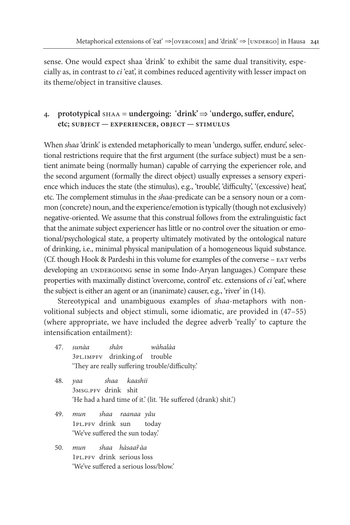sense. One would expect shaa 'drink' to exhibit the same dual transitivity, especially as, in contrast to ci 'eat', it combines reduced agentivity with lesser impact on its theme/object in transitive clauses.

## **4.** prototypical  $\text{SHA} = \text{undergoing: } \text{^'} \text{drink} \implies \text{`undergo, suffer, endure,'}$  $etc$ ; **SUBJECT** - **EXPERIENCER**, **OBJECT** - **STIMULUS**

When shaa 'drink' is extended metaphorically to mean 'undergo, suffer, endure', selectional restrictions require that the first argument (the surface subject) must be a sentient animate being (normally human) capable of carrying the experiencer role, and the second argument (formally the direct object) usually expresses a sensory experience which induces the state (the stimulus), e.g., 'trouble', 'difficulty', '(excessive) heat', etc. The complement stimulus in the *shaa-predicate can be a sensory noun or a com*mon (concrete) noun, and the experience/emotion istypically (though not exclusively) negative-oriented. We assume that this construal follows from the extralinguistic fact that the animate subject experiencer has little or no control over the situation or emotional/psychological state, a property ultimately motivated by the ontological nature of drinking, i.e., minimal physical manipulation of a homogeneous liquid substance. (Cf. though Hook & Pardeshi in this volume for examples of the converse  $-$  EAT verbs developing an UNDERGOING sense in some Indo-Aryan languages.) Compare these properties with maximally distinct 'overcome, control' etc. extensions of ci 'eat', where the subject is either an agent or an (inanimate) causer, e.g., 'river' in (14).

Stereotypical and unambiguous examples of shaa-metaphors with nonvolitional subjects and object stimuli, some idiomatic, are provided in (47–55) (where appropriate, we have included the degree adverb 'really' to capture the intensification entailment):

|     | 47. sunàa shân wàhalàa                |  |                                                 |                                                                |  |
|-----|---------------------------------------|--|-------------------------------------------------|----------------------------------------------------------------|--|
|     | 3PL.IMPFV drinking.of trouble         |  |                                                 |                                                                |  |
|     |                                       |  | 'They are really suffering trouble/difficulty.' |                                                                |  |
| 48. | yaa  shaa kaashii                     |  |                                                 |                                                                |  |
|     | 3MSG.PFV drink shit                   |  |                                                 |                                                                |  |
|     |                                       |  |                                                 | 'He had a hard time of it.' (lit. 'He suffered (drank) shit.') |  |
| 49. | mun shaa raanaa yâu                   |  |                                                 |                                                                |  |
|     | 1PL.PFV drink sun today               |  |                                                 |                                                                |  |
|     | 'We've suffered the sun today.'       |  |                                                 |                                                                |  |
| 50. | mun shaa hàsaar̃àa                    |  |                                                 |                                                                |  |
|     | 1PL.PFV drink serious loss            |  |                                                 |                                                                |  |
|     | 'We've suffered a serious loss/blow.' |  |                                                 |                                                                |  |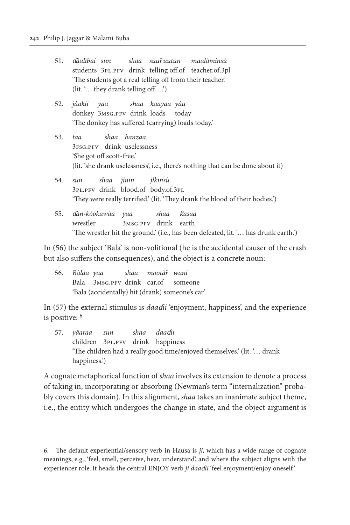| 51. | dàalìbai sun   shaa sùur̃uutùn maalàminsù<br>students 3PL.PFV drink telling off.of teacher.of.3pl<br>'The students got a real telling off from their teacher.'<br>$(lit. \n$ they drank telling off ') |
|-----|--------------------------------------------------------------------------------------------------------------------------------------------------------------------------------------------------------|
| 52. | jàakii yaa   shaa kaayaa yâu<br>donkey 3MSG.PFV drink loads today<br>'The donkey has suffered (carrying) loads today.'                                                                                 |
| 53. | shaa banzaa<br>taa<br>3FSG.PFV drink uselessness<br>'She got off scott-free.'<br>(lit. 'she drank uselessness', i.e., there's nothing that can be done about it)                                       |
| 54. | shaa jinin  jìkinsù<br>sun<br>3PL.PFV drink blood.of body.of.3PL<br>'They were really terrified.' (lit. 'They drank the blood of their bodies.')                                                       |
| 55. | ɗan-kòokawàa yaa   shaa<br>ƙasaa<br>3MSG.PFV drink earth<br>wrestler<br>"The wrestler hit the ground.' (i.e., has been defeated, lit. ' has drunk earth.')                                             |
|     | In (56) the subject 'Bala' is non-volitional (he is the accidental causer of the crash<br>but also suffers the consequences), and the object is a concrete noun:                                       |

| 56. Bàlaa yaa                                    |                                    |  | shaa mootàr̃ wani |  |  |  |
|--------------------------------------------------|------------------------------------|--|-------------------|--|--|--|
|                                                  | Bala 3MSG.PFV drink car.of someone |  |                   |  |  |  |
| 'Bala (accidentally) hit (drank) someone's car.' |                                    |  |                   |  |  |  |

In (57) the external stimulus is *daadii* 'enjoyment, happiness', and the experience is positive: <sup>6</sup>

57. yâaraa sun shaa daaɗii children 3PL.PFV drink happiness 'The children had a really good time/enjoyed themselves.' (lit. '... drank happiness.')

A cognate metaphorical function of shaa involves its extension to denote a process of taking in, incorporating or absorbing (Newman's term "internalization" probably covers this domain). In this alignment, *shaa* takes an inanimate subject theme, i.e., the entity which undergoes the change in state, and the object argument is

<sup>6.</sup> The default experiential/sensory verb in Hausa is  $ji$ , which has a wide range of cognate meanings, e.g., 'feel, smell, perceive, hear, understand', and where the subject aligns with the experiencer role. It heads the central ENJOY verb ji daadii 'feel enjoyment/enjoy oneself'.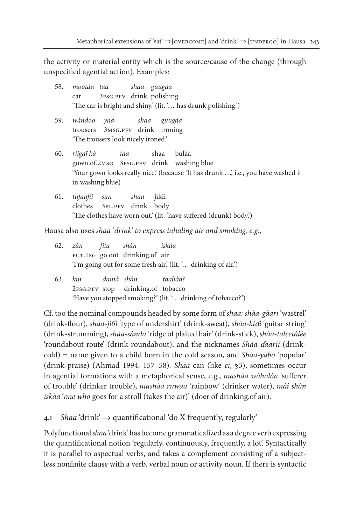the activity or material entity which is the source/cause of the change (through unspecified agential action). Examples:

| 58. | car                            | mootàa taa   shaa guugàa<br>3FSG.PFV drink polishing                                              |      | 'The car is bright and shiny' (lit. ' has drunk polishing')                                                                           |
|-----|--------------------------------|---------------------------------------------------------------------------------------------------|------|---------------------------------------------------------------------------------------------------------------------------------------|
| 59. |                                | wàndoo yaa   shaa guugàa<br>trousers 3MSG.PFV drink ironing<br>'The trousers look nicely ironed.' |      |                                                                                                                                       |
| 60. | rìigar̃ kà<br>in washing blue) | taa                                                                                               | shaa | bulàa<br>gown.of.2MSG 3FSG.PFV drink washing blue<br>'Your gown looks really nice.' (because 'It has drunk , i.e., you have washed it |

61. tufaafii sun shaa jikii clothes 3PL.PFV drink body 'The clothes have worn out.' (lit. 'have suffered (drunk) body.')

Hausa also uses shaa 'drink' to express inhaling air and smoking, e.g.,

|     | 62. <i>zân</i> | fìta       | shân                           | iskàa                                                         |
|-----|----------------|------------|--------------------------------|---------------------------------------------------------------|
|     |                |            | FUT.1sG go out drinking of air |                                                               |
|     |                |            |                                | T'm going out for some fresh air.' (lit. ' drinking of air.') |
| 63. | kin            | dainà shân |                                | taabàa?                                                       |

2FSG.PFV stop drinking.of tobacco 'Have you stopped smoking?' (lit. '… drinking of tobacco?')

Cf. too the nominal compounds headed by some form of shaa: shàa-gàari 'wastrel' (drink-flour), shàa-jìbi 'type of undershirt' (drink-sweat), shàa-kidì 'guitar string' (drink-strumming), shàa-sànda 'ridge of plaited hair' (drink-stick), shàa-taleetàlêe 'roundabout route' (drink-roundabout), and the nicknames Shàa-ɗaarii (drinkcold) = name given to a child born in the cold season, and Shàa-yàbo 'popular' (drink-praise) (Ahmad 1994: 157–58). Shaa can (like ci, §3), sometimes occur in agential formations with a metaphorical sense, e.g., mashàa wàhalàa 'sufferer of trouble' (drinker trouble), mashàa ruwaa 'rainbow' (drinker water), mài shân iskàa 'one who goes for a stroll (takes the air)' (doer of drinking.of air).

4.1 Shaa 'drink'  $\Rightarrow$  quantificational 'do X frequently, regularly'

Polyfunctional shaa 'drink' has become grammaticalized as a degree verb expressing the quantificational notion 'regularly, continuously, frequently, a lot'. Syntactically it is parallel to aspectual verbs, and takes a complement consisting of a subjectless nonfinite clause with a verb, verbal noun or activity noun. If there is syntactic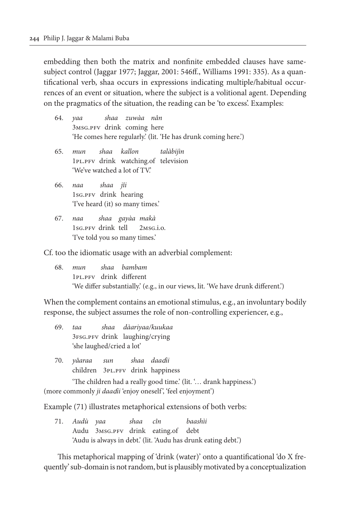embedding then both the matrix and nonfinite embedded clauses have samesubject control (Jaggar 1977; Jaggar, 2001: 546ff., Williams 1991: 335). As a quantificational verb, shaa occurs in expressions indicating multiple/habitual occurrences of an event or situation, where the subject is a volitional agent. Depending on the pragmatics of the situation, the reading can be 'to excess'. Examples:

| 64. | yaa  shaa zuwàa nân                                           |
|-----|---------------------------------------------------------------|
|     | 3MSG.PFV drink coming here                                    |
|     | 'He comes here regularly.' (lit. 'He has drunk coming here.') |
|     | 65. mun shaa kallon talàbijìn                                 |
|     | 1PL.PFV drink watching.of television                          |
|     | 'We've watched a lot of TV.'                                  |
|     | 66. naa shaa jii                                              |
|     | 1sG.PFV drink hearing                                         |
|     | 'I've heard (it) so many times.'                              |
|     | 67. naa   shaa gayàa makà                                     |
|     | 1sg. PFV drink tell 2MSG.i.o.                                 |

'I've told you so many times.'

Cf. too the idiomatic usage with an adverbial complement:

| 68. | mun | shaa bambam                                                                      |
|-----|-----|----------------------------------------------------------------------------------|
|     |     | 1PL.PFV drink different                                                          |
|     |     | 'We differ substantially.' (e.g., in our views, lit. 'We have drunk different.') |

When the complement contains an emotional stimulus, e.g., an involuntary bodily response, the subject assumes the role of non-controlling experiencer, e.g.,

| 69. taa                   |  | shaa dàariyaa/kuukaa           |  |  |  |  |
|---------------------------|--|--------------------------------|--|--|--|--|
|                           |  | 3FSG.PFV drink laughing/crying |  |  |  |  |
| 'she laughed/cried a lot' |  |                                |  |  |  |  |

70. yâaraa sun shaa daaɗii children 3PL.PFV drink happiness

'The children had a really good time.' (lit. '... drank happiness.') (more commonly ji daaɗii 'enjoy oneself', 'feel enjoyment')

Example (71) illustrates metaphorical extensions of both verbs:

| 71. Audù yaa |                                    | shaa cîn | baashìi                                                        |
|--------------|------------------------------------|----------|----------------------------------------------------------------|
|              | Audu 3MSG.PFV drink eating.of debt |          |                                                                |
|              |                                    |          | 'Audu is always in debt.' (lit. 'Audu has drunk eating debt.') |

This metaphorical mapping of 'drink (water)' onto a quantificational 'do X frequently'sub-domain is notrandom, butis plausibly motivated by a conceptualization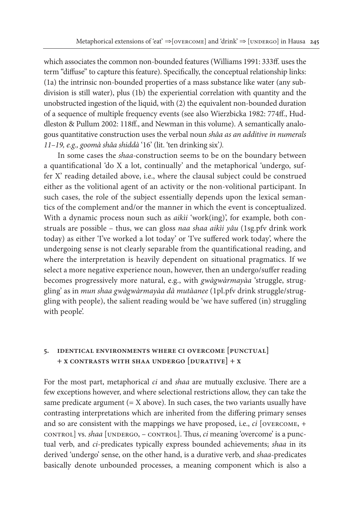which associates the common non-bounded features (Williams 1991: 333ff. uses the term "diffuse" to capture this feature). Specifically, the conceptual relationship links: (1a) the intrinsic non-bounded properties of a mass substance like water (any subdivision is still water), plus (1b) the experiential correlation with quantity and the unobstructed ingestion of the liquid, with (2) the equivalent non-bounded duration of a sequence of multiple frequency events (see also Wierzbicka 1982: 774ff., Huddleston & Pullum 2002: 118ff., and Newman in this volume). A semantically analogous quantitative construction uses the verbal noun shâa as an additive in numerals 11–19, e.g., goomà shâa shiddà '16' (lit. 'ten drinking six').

In some cases the shaa-construction seems to be on the boundary between a quantificational 'do X a lot, continually' and the metaphorical 'undergo, suffer X' reading detailed above, i.e., where the clausal subject could be construed either as the volitional agent of an activity or the non-volitional participant. In such cases, the role of the subject essentially depends upon the lexical semantics of the complement and/or the manner in which the event is conceptualized. With a dynamic process noun such as *aikìi* 'work(ing)', for example, both construals are possible – thus, we can gloss naa shaa aikii yâu (1sg.pfv drink work today) as either 'I've worked a lot today' or 'I've suffered work today', where the undergoing sense is not clearly separable from the quantificational reading, and where the interpretation is heavily dependent on situational pragmatics. If we select a more negative experience noun, however, then an undergo/suffer reading becomes progressively more natural, e.g., with gwàgwàrmayàa 'struggle, struggling' as in mun shaa gwàgwàrmayàa dà mutàanee (1pl.pfv drink struggle/struggling with people), the salient reading would be 'we have suffered (in) struggling with people'.

## **5. IDENTICAL ENVIRONMENTS WHERE CI OVERCOME [PUNCTUAL]**  $+$  **x** contrasts with shaa undergo [DURATIVE]  $+$  **x**

For the most part, metaphorical *ci* and shaa are mutually exclusive. There are a few exceptions however, and where selectional restrictions allow, they can take the same predicate argument  $(= X$  above). In such cases, the two variants usually have contrasting interpretations which are inherited from the differing primary senses and so are consistent with the mappings we have proposed, i.e.,  $ci$  [OVERCOME,  $+$ control vs. shaa [UNDERGO, – CONTROL]. Thus, ci meaning 'overcome' is a punctual verb, and *ci*-predicates typically express bounded achievements; shaa in its derived 'undergo' sense, on the other hand, is a durative verb, and shaa-predicates basically denote unbounded processes, a meaning component which is also a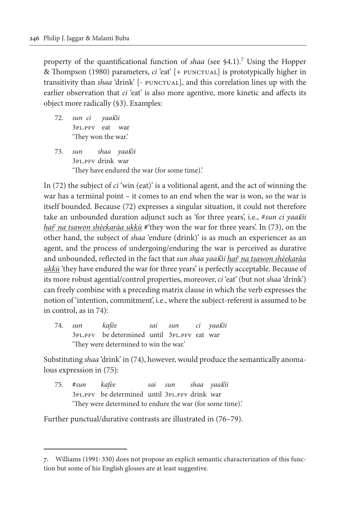property of the quantificational function of shaa (see  $\$4.1$ ).<sup>7</sup> Using the Hopper & Thompson (1980) parameters,  $ci$  'eat' [+ PUNCTUAL] is prototypically higher in transitivity than shaa 'drink' [- PUNCTUAL], and this correlation lines up with the earlier observation that *ci* 'eat' is also more agentive, more kinetic and affects its object more radically (§3). Examples:

72. sun ci yaaƙìi 3PL PFV eat war 'They won the war.'

73. sun shaa yaaƙìi 3PL PFV drink war 'They have endured the war (for some time).'

In (72) the subject of *ci* 'win (eat)' is a volitional agent, and the act of winning the war has a terminal point – it comes to an end when the war is won, so the war is itself bounded. Because (72) expresses a singular situation, it could not therefore take an unbounded duration adjunct such as 'for three years', i.e., #sun ci yaakii har<u>̃na tsawon shèekaràa ukkù</u> #'they won the war for three years'. In (73), on the other hand, the subject of shaa 'endure (drink)' is as much an experiencer as an agent, and the process of undergoing/enduring the war is perceived as durative and unbounded, reflected in the fact that sun shaa yaakii har na tsawon shèekaràa ukkù 'they have endured the war for three years' is perfectly acceptable. Because of its more robust agential/control properties, moreover, ci 'eat' (but not shaa 'drink') can freely combine with a preceding matrix clause in which the verb expresses the notion of 'intention, commitment', i.e., where the subject-referent is assumed to be in control, as in 74):

74. sun kafèe sai sun ci yaaƙìi 3PL PFV be determined until 3PL PFV eat war 'They were determined to win the war.'

Substituting shaa 'drink' in (74), however, would produce the semantically anomalous expression in (75):

75. **#**sun kafèe sai sun shaa yaaƙìi 3PL.PFV be determined until 3PL.PFV drink war 'They were determined to endure the war (for some time).'

Further punctual/durative contrasts are illustrated in (76–79).

Williams (1991: 330) does not propose an explicit semantic characterization of this function but some of his English glosses are at least suggestive.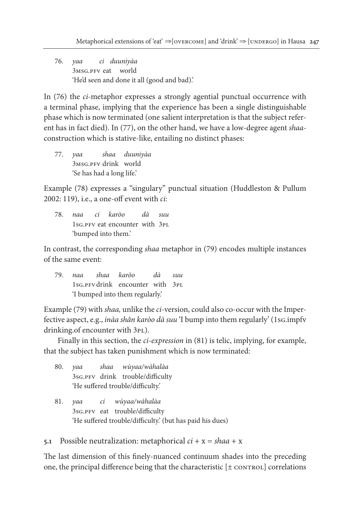76. yaa ci duuniyàa 3MSG.PFV eat world 'He'd seen and done it all (good and bad).'

In (76) the ci-metaphor expresses a strongly agential punctual occurrence with a terminal phase, implying that the experience has been a single distinguishable phase which is now terminated (one salient interpretation is that the subject referent has in fact died). In (77), on the other hand, we have a low-degree agent shaaconstruction which is stative-like, entailing no distinct phases:

77. yaa shaa duuniyàa 3MSG.PFV drink world 'Se has had a long life.'

Example (78) expresses a "singulary" punctual situation (Huddleston & Pullum  $2002: 119$ ), i.e., a one-off event with  $ci$ :

78. naa ci karòo dà suu 1sG.PFV eat encounter with 3PL 'bumped into them.'

In contrast, the corresponding shaa metaphor in (79) encodes multiple instances of the same event:

79. naa shaa karòo dà suu 1sG.PFV drink encounter with 3PL 'I bumped into them regularly.'

Example (79) with shaa, unlike the ci-version, could also co-occur with the Imperfective aspect, e.g., inàa shân karòo dà suu 'I bump into them regularly' (1sG.impfv drinking.of encounter with 3PL).

Finally in this section, the ci-expression in (81) is telic, implying, for example, that the subject has taken punishment which is now terminated:

- 80. yaa shaa wùyaa/wàhalàa 3sG.PFV drink trouble/difficulty 'He suffered trouble/difficulty.'
- 81. yaa ci wùyaa/wàhalàa 3sG.PFV eat trouble/difficulty 'He suffered trouble/difficulty.' (but has paid his dues)

5.1 Possible neutralization: metaphorical  $ci + x = sha + x$ 

The last dimension of this finely-nuanced continuum shades into the preceding one, the principal difference being that the characteristic  $[\pm \text{corrROL}]$  correlations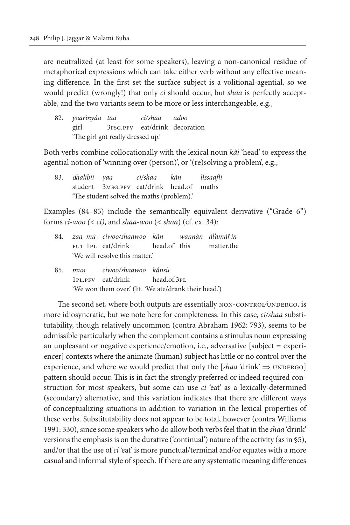are neutralized (at least for some speakers), leaving a non-canonical residue of metaphorical expressions which can take either verb without any effective meaning difference. In the first set the surface subject is a volitional-agential, so we would predict (wrongly!) that only *ci* should occur, but *shaa* is perfectly acceptable, and the two variants seem to be more or less interchangeable, e.g.,

82. yaarinyàa taa ci/shaa adoo girl 3FSG, PFV eat/drink decoration 'The girl got really dressed up.'

Both verbs combine collocationally with the lexical noun kâi 'head' to express the agential notion of 'winning over (person)', or '(re)solving a problem', e.g.,

| 83. ɗaalibii vaa                          |                                          | ci/shaa | kân | lìssaafii |
|-------------------------------------------|------------------------------------------|---------|-----|-----------|
|                                           | student 3MSG.PFV eat/drink head.of maths |         |     |           |
| 'The student solved the maths (problem).' |                                          |         |     |           |

Examples (84–85) include the semantically equivalent derivative ("Grade 6") forms  $ci$ -woo  $(*c*i)$ , and shaa-woo  $(*s*haa)$  (cf. ex. 34):

|  | 84. zaa mù ciwoo/shaawoo kân - wannàn àl'amàr̃ în |  |  |            |  |
|--|---------------------------------------------------|--|--|------------|--|
|  | FUT 1PL eat/drink head.of this                    |  |  | matter.the |  |
|  | 'We will resolve this matter.'                    |  |  |            |  |

85. mun ciwoo/shaawoo kânsù 1PL.PFV eat/drink head.of.3PL 'We won them over.' (lit. 'We ate/drank their head.')

The second set, where both outputs are essentially NON-CONTROL/UNDERGO, is more idiosyncratic, but we note here for completeness. In this case, ci/shaa substitutability, though relatively uncommon (contra Abraham 1962: 793), seems to be admissible particularly when the complement contains a stimulus noun expressing an unpleasant or negative experience/emotion, i.e., adversative [subject = experiencer] contexts where the animate (human) subject has little or no control over the experience, and where we would predict that only the [shaa 'drink'  $\Rightarrow$  UNDERGO] pattern should occur. This is in fact the strongly preferred or indeed required construction for most speakers, but some can use ci 'eat' as a lexically-determined (secondary) alternative, and this variation indicates that there are different ways of conceptualizing situations in addition to variation in the lexical properties of these verbs. Substitutability does not appear to be total, however (contra Williams 1991: 330), since some speakers who do allow both verbs feel that in the shaa 'drink' versions the emphasis is on the durative ('continual') nature of the activity (as in §5), and/or that the use of *ci* 'eat' is more punctual/terminal and/or equates with a more casual and informal style of speech. If there are any systematic meaning differences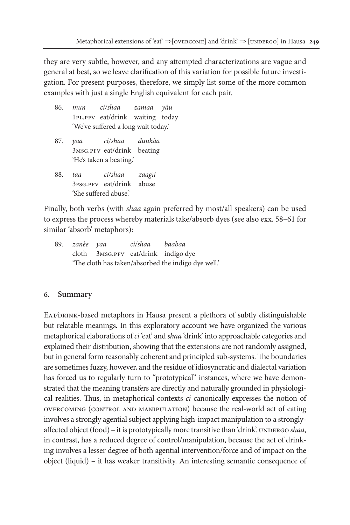they are very subtle, however, and any attempted characterizations are vague and general at best, so we leave clarification of this variation for possible future investigation. For present purposes, therefore, we simply list some of the more common examples with just a single English equivalent for each pair.

| 86. |                       | mun ci/shaa zamaa yâu               |  |  |  |  |
|-----|-----------------------|-------------------------------------|--|--|--|--|
|     |                       | 1PL.PFV eat/drink waiting today     |  |  |  |  |
|     |                       | 'We've suffered a long wait today.' |  |  |  |  |
|     | 87. yaa               | ci/shaa duukàa                      |  |  |  |  |
|     |                       | 3MSG.PFV eat/drink beating          |  |  |  |  |
|     |                       | 'He's taken a beating.'             |  |  |  |  |
| 88. | taa                   | ci/shaa zaagìi                      |  |  |  |  |
|     |                       | 3FSG.PFV eat/drink abuse            |  |  |  |  |
|     | 'She suffered abuse'. |                                     |  |  |  |  |

Finally, both verbs (with shaa again preferred by most/all speakers) can be used to express the process whereby materials take/absorb dyes (see also exx. 58–61 for similar 'absorb' metaphors):

| 89. zanèe yaa                                       |  | ci/shaa baabaa |                                     |  |  |
|-----------------------------------------------------|--|----------------|-------------------------------------|--|--|
|                                                     |  |                | cloth 3MSG.PFV eat/drink indigo dye |  |  |
| 'The cloth has taken/absorbed the indigo dye well.' |  |                |                                     |  |  |

## **Summary**

EAT/DRINK-based metaphors in Hausa present a plethora of subtly distinguishable but relatable meanings. In this exploratory account we have organized the various metaphorical elaborations of ci 'eat' and shaa 'drink' into approachable categories and explained their distribution, showing that the extensions are not randomly assigned, but in general form reasonably coherent and principled sub-systems. The boundaries are sometimes fuzzy, however, and the residue of idiosyncratic and dialectal variation has forced us to regularly turn to "prototypical" instances, where we have demonstrated that the meaning transfers are directly and naturally grounded in physiological realities. Thus, in metaphorical contexts  $ci$  canonically expresses the notion of OVERCOMING (CONTROL AND MANIPULATION) because the real-world act of eating involves a strongly agential subject applying high-impact manipulation to a stronglyaffected object (food) – it is prototypically more transitive than 'drink'. UNDERGO shaa, in contrast, has a reduced degree of control/manipulation, because the act of drinking involves a lesser degree of both agential intervention/force and of impact on the object (liquid) – it has weaker transitivity. An interesting semantic consequence of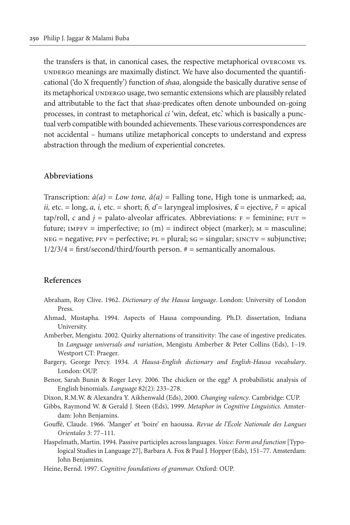the transfers is that, in canonical cases, the respective metaphorical OVERCOME VS. UNDERGO meanings are maximally distinct. We have also documented the quantificational ('do X frequently') function of shaa, alongside the basically durative sense of its metaphorical UNDERGO usage, two semantic extensions which are plausibly related and attributable to the fact that shaa-predicates often denote unbounded on-going processes, in contrast to metaphorical *ci* 'win, defeat, etc.' which is basically a punctual verb compatible with bounded achievements. These various correspondences are not accidental – humans utilize metaphorical concepts to understand and express abstraction through the medium of experiential concretes.

#### **Abbreviations**

Transcription:  $\dot{a}(a) = Low$  tone,  $\hat{a}(a) =$  Falling tone, High tone is unmarked; aa, ii, etc. = long, a, i, etc. = short;  $\delta$ ,  $d$  = laryngeal implosives,  $k$  = ejective,  $\tilde{r}$  = apical tap/roll, c and  $j =$  palato-alveolar affricates. Abbreviations:  $F =$  feminine;  $FUT =$ future;  $IMPFV = imperfective$ ;  $IO(m) = indirect object (marker)$ ;  $M = masculine$ ;  $NEG = negative; PFV = perfective; PL = plural; SG = singular; SJNCTV = subjunctive;$  $1/2/3/4$  = first/second/third/fourth person.  $#$  = semantically anomalous.

### **References**

- Abraham, Roy Clive. 1962. Dictionary of the Hausa language. London: University of London Press.
- Ahmad, Mustapha. 1994. Aspects of Hausa compounding. Ph.D. dissertation, Indiana University.
- Amberber, Mengistu. 2002. Quirky alternations of transitivity: The case of ingestive predicates. In Language universals and variation, Mengistu Amberber & Peter Collins (Eds), 1–19. Westport CT: Praeger.
- Bargery, George Percy. 1934. A Hausa-English dictionary and English-Hausa vocabulary. London: OUP.
- Benor, Sarah Bunin & Roger Levy. 2006. The chicken or the egg? A probabilistic analysis of English binomials. Language 82(2): 233–278.
- Dixon, R.M.W. & Alexandra Y. Aikhenwald (Eds), 2000. Changing valency. Cambridge: CUP.
- Gibbs, Raymond W. & Gerald J. Steen (Eds), 1999. Metaphor in Cognitive Linguistics. Amsterdam: John Benjamins.
- Gouffé, Claude. 1966. 'Manger' et 'boire' en haoussa. Revue de l'École Nationale des Langues Orientales 3: 77–111.
- Haspelmath, Martin. 1994. Passive participles across languages. Voice: Form and function [Typological Studies in Language 27], Barbara A. Fox & Paul J. Hopper (Eds), 151–77. Amsterdam: John Benjamins.
- Heine, Bernd. 1997. Cognitive foundations of grammar. Oxford: OUP.